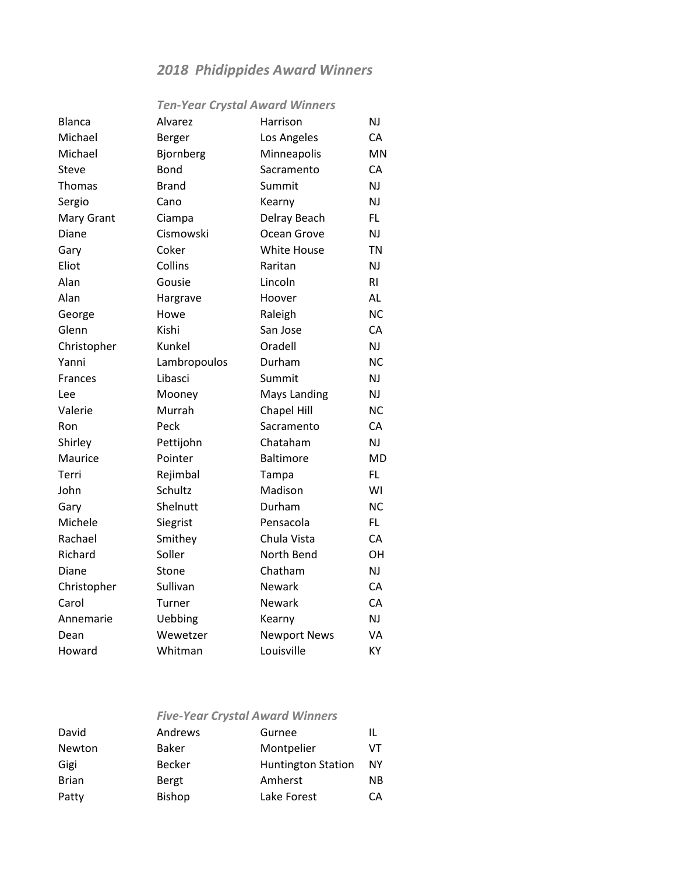## *2018 Phidippides Award Winners*

## *Ten-Year Crystal Award Winners*

| <b>Blanca</b>  | Alvarez      | Harrison            | NJ             |
|----------------|--------------|---------------------|----------------|
| Michael        | Berger       | Los Angeles         | CA             |
| Michael        | Bjornberg    | Minneapolis         | <b>MN</b>      |
| Steve          | <b>Bond</b>  | Sacramento          | CA             |
| Thomas         | <b>Brand</b> | Summit              | NJ             |
| Sergio         | Cano         | Kearny              | NJ             |
| Mary Grant     | Ciampa       | Delray Beach        | FL.            |
| Diane          | Cismowski    | Ocean Grove         | NJ             |
| Gary           | Coker        | <b>White House</b>  | <b>TN</b>      |
| Eliot          | Collins      | Raritan             | NJ             |
| Alan           | Gousie       | Lincoln             | R <sub>l</sub> |
| Alan           | Hargrave     | Hoover              | AL             |
| George         | Howe         | Raleigh             | <b>NC</b>      |
| Glenn          | Kishi        | San Jose            | CA             |
| Christopher    | Kunkel       | Oradell             | NJ             |
| Yanni          | Lambropoulos | Durham              | <b>NC</b>      |
| <b>Frances</b> | Libasci      | Summit              | <b>NJ</b>      |
| Lee            | Mooney       | <b>Mays Landing</b> | NJ             |
| Valerie        | Murrah       | <b>Chapel Hill</b>  | <b>NC</b>      |
| Ron            | Peck         | Sacramento          | CA             |
| Shirley        | Pettijohn    | Chataham            | NJ             |
| Maurice        | Pointer      | <b>Baltimore</b>    | <b>MD</b>      |
| Terri          | Rejimbal     | Tampa               | FL.            |
| John           | Schultz      | Madison             | WI             |
| Gary           | Shelnutt     | Durham              | <b>NC</b>      |
| Michele        | Siegrist     | Pensacola           | FL.            |
| Rachael        | Smithey      | Chula Vista         | CA             |
| Richard        | Soller       | North Bend          | OH             |
| Diane          | Stone        | Chatham             | NJ             |
| Christopher    | Sullivan     | <b>Newark</b>       | CA             |
| Carol          | Turner       | Newark              | CA             |
| Annemarie      | Uebbing      | Kearny              | NJ             |
| Dean           | Wewetzer     | <b>Newport News</b> | VA             |
| Howard         | Whitman      | Louisville          | KY             |

|              | <b>Five-Year Crystal Award Winners</b> |                           |    |
|--------------|----------------------------------------|---------------------------|----|
| David        | Andrews                                | Gurnee                    | IL |
| Newton       | Baker                                  | Montpelier                | VT |
| Gigi         | <b>Becker</b>                          | <b>Huntington Station</b> | NΥ |
| <b>Brian</b> | Bergt                                  | Amherst                   | ΝB |
| Patty        | <b>Bishop</b>                          | Lake Forest               | CА |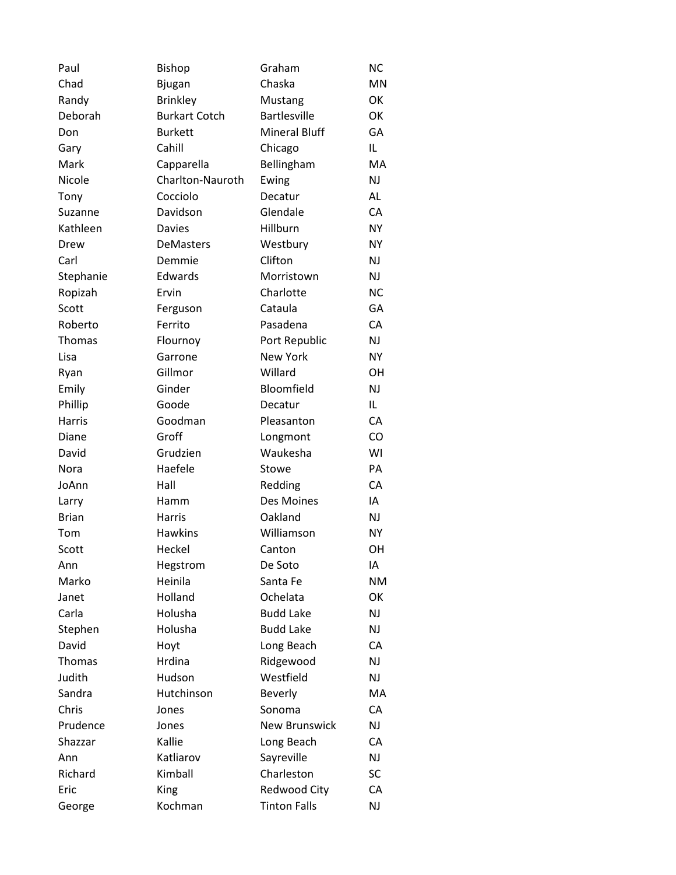| Paul         | <b>Bishop</b>        | Graham               | <b>NC</b> |
|--------------|----------------------|----------------------|-----------|
| Chad         | <b>Bjugan</b>        | Chaska               | MN        |
| Randy        | <b>Brinkley</b>      | Mustang              | OK        |
| Deborah      | <b>Burkart Cotch</b> | <b>Bartlesville</b>  | OK        |
| Don          | <b>Burkett</b>       | <b>Mineral Bluff</b> | GA        |
| Gary         | Cahill               | Chicago              | IL        |
| Mark         | Capparella           | Bellingham           | MA        |
| Nicole       | Charlton-Nauroth     | Ewing                | NJ        |
| Tony         | Cocciolo             | Decatur              | AL        |
| Suzanne      | Davidson             | Glendale             | CA        |
| Kathleen     | <b>Davies</b>        | Hillburn             | <b>NY</b> |
| Drew         | DeMasters            | Westbury             | <b>NY</b> |
| Carl         | Demmie               | Clifton              | NJ        |
| Stephanie    | Edwards              | Morristown           | <b>NJ</b> |
| Ropizah      | Ervin                | Charlotte            | <b>NC</b> |
| Scott        | Ferguson             | Cataula              | GA        |
| Roberto      | Ferrito              | Pasadena             | CA        |
| Thomas       | Flournoy             | Port Republic        | NJ        |
| Lisa         | Garrone              | <b>New York</b>      | <b>NY</b> |
| Ryan         | Gillmor              | Willard              | <b>OH</b> |
| Emily        | Ginder               | Bloomfield           | NJ        |
| Phillip      | Goode                | Decatur              | IL        |
| Harris       | Goodman              | Pleasanton           | CA        |
| Diane        | Groff                | Longmont             | CO        |
| David        | Grudzien             | Waukesha             | WI        |
| Nora         | Haefele              | Stowe                | PA        |
| JoAnn        | Hall                 | Redding              | CA        |
| Larry        | Hamm                 | Des Moines           | IA        |
| <b>Brian</b> | Harris               | Oakland              | <b>NJ</b> |
| Tom          | <b>Hawkins</b>       | Williamson           | <b>NY</b> |
| Scott        | Heckel               | Canton               | OH        |
| Ann          | Hegstrom             | De Soto              | ΙA        |
| Marko        | Heinila              | Santa Fe             | <b>NM</b> |
| Janet        | Holland              | Ochelata             | OK        |
| Carla        | Holusha              | <b>Budd Lake</b>     | NJ        |
| Stephen      | Holusha              | <b>Budd Lake</b>     | NJ        |
| David        | Hoyt                 | Long Beach           | CA        |
| Thomas       | Hrdina               | Ridgewood            | NJ        |
| Judith       | Hudson               | Westfield            | <b>NJ</b> |
| Sandra       | Hutchinson           | <b>Beverly</b>       | MA        |
| Chris        | Jones                | Sonoma               | CA        |
| Prudence     | Jones                | <b>New Brunswick</b> | NJ        |
| Shazzar      | Kallie               | Long Beach           | CA        |
| Ann          | Katliarov            | Sayreville           | NJ        |
| Richard      | Kimball              | Charleston           | <b>SC</b> |
| Eric         | King                 | Redwood City         | CA        |
| George       | Kochman              | <b>Tinton Falls</b>  | <b>NJ</b> |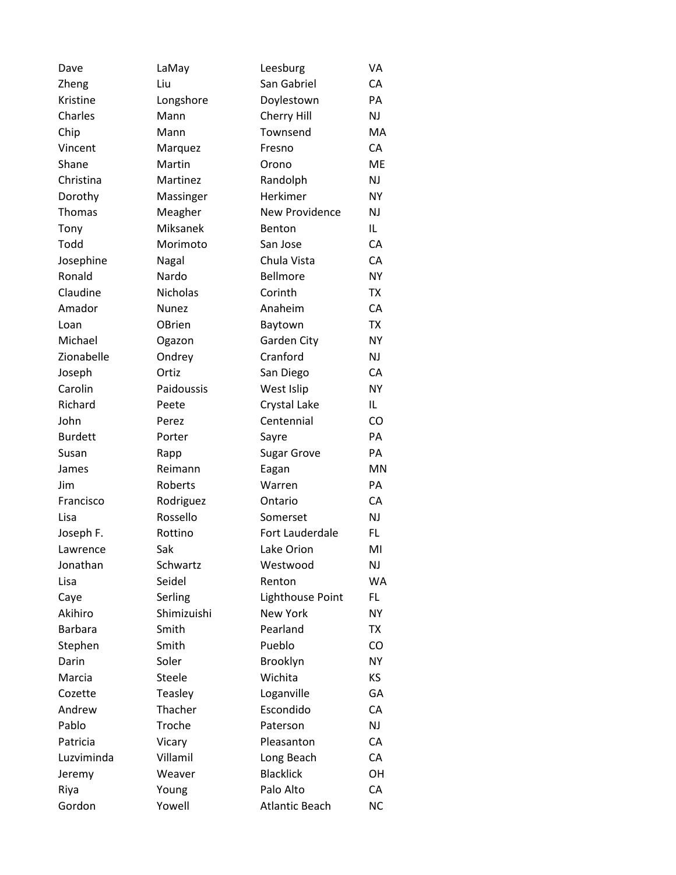| Dave           | LaMay           | Leesburg              | VA        |
|----------------|-----------------|-----------------------|-----------|
| Zheng          | Liu             | San Gabriel           | CA        |
| Kristine       | Longshore       | Doylestown            | PA        |
| Charles        | Mann            | Cherry Hill           | NJ        |
| Chip           | Mann            | Townsend              | MA        |
| Vincent        | Marquez         | Fresno                | CA        |
| Shane          | Martin          | Orono                 | ME        |
| Christina      | Martinez        | Randolph              | NJ        |
| Dorothy        | Massinger       | Herkimer              | <b>NY</b> |
| Thomas         | Meagher         | <b>New Providence</b> | NJ        |
| Tony           | Miksanek        | Benton                | IL        |
| Todd           | Morimoto        | San Jose              | CA        |
| Josephine      | Nagal           | Chula Vista           | CA        |
| Ronald         | Nardo           | Bellmore              | <b>NY</b> |
| Claudine       | <b>Nicholas</b> | Corinth               | ТX        |
| Amador         | <b>Nunez</b>    | Anaheim               | CA        |
| Loan           | OBrien          | Baytown               | <b>TX</b> |
| Michael        | Ogazon          | Garden City           | NY        |
| Zionabelle     | Ondrey          | Cranford              | NJ        |
| Joseph         | Ortiz           | San Diego             | CA        |
| Carolin        | Paidoussis      | West Islip            | <b>NY</b> |
| Richard        | Peete           | Crystal Lake          | IL.       |
| John           | Perez           | Centennial            | CO        |
| <b>Burdett</b> | Porter          | Sayre                 | PA        |
| Susan          | Rapp            | Sugar Grove           | PA        |
| James          | Reimann         | Eagan                 | MN        |
| Jim            | Roberts         | Warren                | PA        |
| Francisco      | Rodriguez       | Ontario               | CA        |
| Lisa           | Rossello        | Somerset              | NJ        |
| Joseph F.      | Rottino         | Fort Lauderdale       | FL        |
| Lawrence       | Sak             | Lake Orion            | MI        |
| Jonathan       | Schwartz        | Westwood              | NJ        |
| Lisa           | Seidel          | Renton                | WA        |
| Caye           | Serling         | Lighthouse Point      | FL.       |
| Akihiro        | Shimizuishi     | New York              | NY        |
| <b>Barbara</b> | Smith           | Pearland              | TX        |
| Stephen        | Smith           | Pueblo                | CO        |
| Darin          | Soler           | Brooklyn              | NY        |
| Marcia         | Steele          | Wichita               | KS        |
| Cozette        | Teasley         | Loganville            | GA        |
| Andrew         | Thacher         | Escondido             | CA        |
| Pablo          | Troche          | Paterson              | NJ        |
| Patricia       | Vicary          | Pleasanton            | CA        |
| Luzviminda     | Villamil        | Long Beach            | CA        |
| Jeremy         | Weaver          | <b>Blacklick</b>      | OH        |
| Riya           | Young           | Palo Alto             | CA        |
| Gordon         | Yowell          | <b>Atlantic Beach</b> | <b>NC</b> |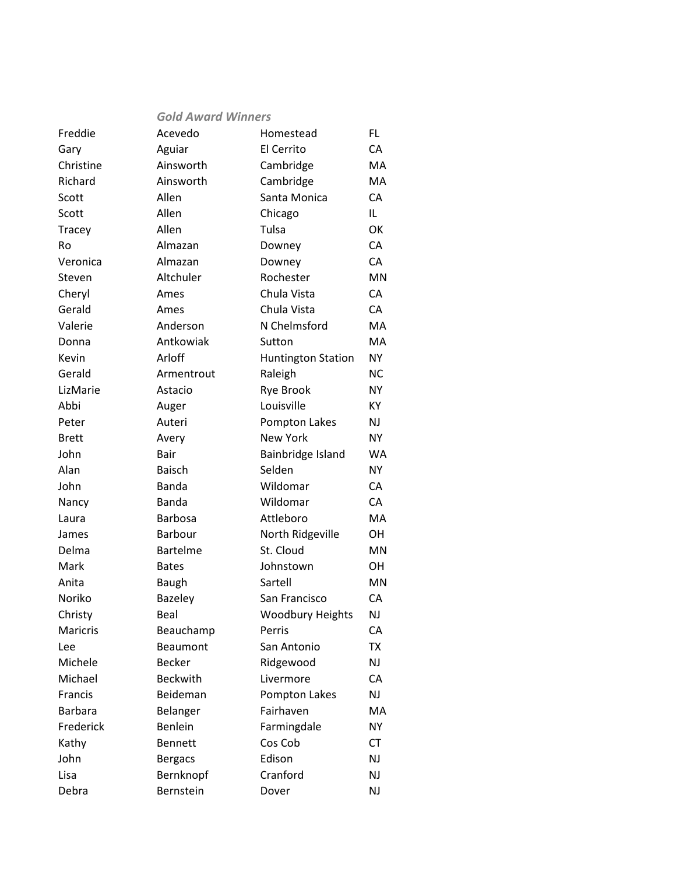|                | <b>Gold Award Winners</b> |                           |           |
|----------------|---------------------------|---------------------------|-----------|
| Freddie        | Acevedo                   | Homestead                 | FL.       |
| Gary           | Aguiar                    | El Cerrito                | CA        |
| Christine      | Ainsworth                 | Cambridge                 | MA        |
| Richard        | Ainsworth                 | Cambridge                 | MA        |
| Scott          | Allen                     | Santa Monica              | CA        |
| Scott          | Allen                     | Chicago                   | IL.       |
| Tracey         | Allen                     | Tulsa                     | OK        |
| Ro             | Almazan                   | Downey                    | CA        |
| Veronica       | Almazan                   | Downey                    | CA        |
| Steven         | Altchuler                 | Rochester                 | MN        |
| Cheryl         | Ames                      | Chula Vista               | CA        |
| Gerald         | Ames                      | Chula Vista               | CA        |
| Valerie        | Anderson                  | N Chelmsford              | MA        |
| Donna          | Antkowiak                 | Sutton                    | MA        |
| Kevin          | Arloff                    | <b>Huntington Station</b> | NY.       |
| Gerald         | Armentrout                | Raleigh                   | <b>NC</b> |
| LizMarie       | Astacio                   | <b>Rye Brook</b>          | <b>NY</b> |
| Abbi           | Auger                     | Louisville                | KY        |
| Peter          | Auteri                    | Pompton Lakes             | NJ        |
| Brett          | Avery                     | <b>New York</b>           | NΥ        |
| John           | Bair                      | Bainbridge Island         | <b>WA</b> |
| Alan           | <b>Baisch</b>             | Selden                    | <b>NY</b> |
| John           | Banda                     | Wildomar                  | CA        |
| Nancy          | <b>Banda</b>              | Wildomar                  | CA        |
| Laura          | <b>Barbosa</b>            | Attleboro                 | MA        |
| James          | Barbour                   | North Ridgeville          | OH        |
| Delma          | <b>Bartelme</b>           | St. Cloud                 | MN        |
| Mark           | <b>Bates</b>              | Johnstown                 | ОH        |
| Anita          | <b>Baugh</b>              | Sartell                   | MN        |
| Noriko         | Bazeley                   | San Francisco             | CA        |
| Christy        | Beal                      | <b>Woodbury Heights</b>   | NJ        |
| Maricris       | Beauchamp                 | Perris                    | СA        |
| Lee            | Beaumont                  | San Antonio               | TX        |
| Michele        | <b>Becker</b>             | Ridgewood                 | NJ        |
| Michael        | <b>Beckwith</b>           | Livermore                 | CA        |
| Francis        | Beideman                  | Pompton Lakes             | NJ        |
| <b>Barbara</b> | Belanger                  | Fairhaven                 | MA        |
| Frederick      | <b>Benlein</b>            | Farmingdale               | NΥ        |
| Kathy          | <b>Bennett</b>            | Cos Cob                   | <b>CT</b> |
| John           | <b>Bergacs</b>            | Edison                    | NJ        |
| Lisa           | Bernknopf                 | Cranford                  | NJ        |
| Debra          | Bernstein                 | Dover                     | NJ        |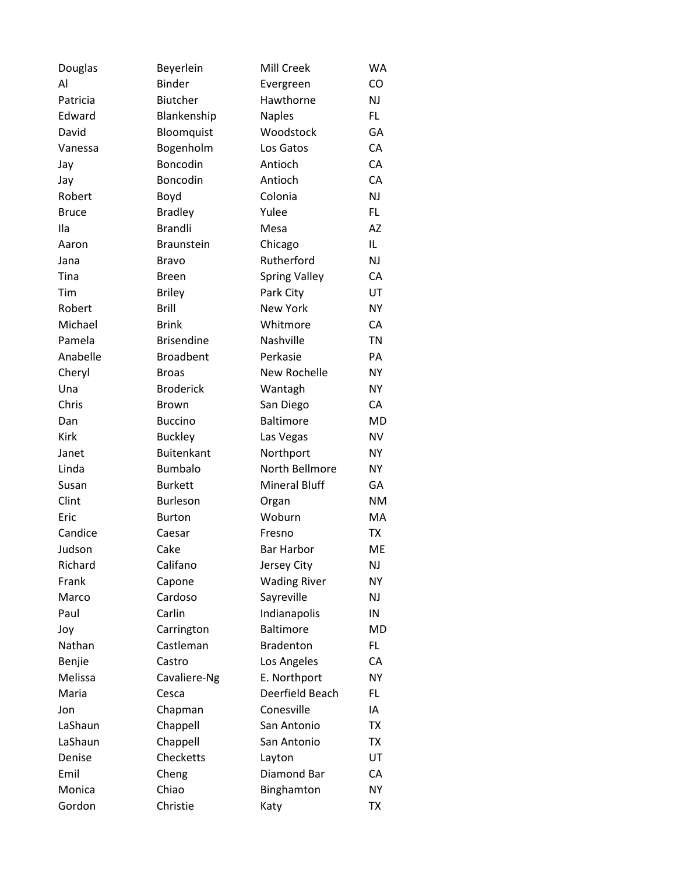| Douglas      | Beyerlein         | Mill Creek           | <b>WA</b> |
|--------------|-------------------|----------------------|-----------|
| Al           | <b>Binder</b>     | Evergreen            | CO        |
| Patricia     | <b>Biutcher</b>   | Hawthorne            | <b>NJ</b> |
| Edward       | Blankenship       | <b>Naples</b>        | FL        |
| David        | Bloomquist        | Woodstock            | GA        |
| Vanessa      | Bogenholm         | Los Gatos            | CA        |
| Jay          | Boncodin          | Antioch              | CA        |
| Jay          | Boncodin          | Antioch              | CA        |
| Robert       | Boyd              | Colonia              | <b>NJ</b> |
| <b>Bruce</b> | <b>Bradley</b>    | Yulee                | FL.       |
| Ila          | <b>Brandli</b>    | Mesa                 | <b>AZ</b> |
| Aaron        | <b>Braunstein</b> | Chicago              | IL        |
| Jana         | <b>Bravo</b>      | Rutherford           | <b>NJ</b> |
| Tina         | <b>Breen</b>      | <b>Spring Valley</b> | CA        |
| Tim          | <b>Briley</b>     | Park City            | UT        |
| Robert       | <b>Brill</b>      | <b>New York</b>      | <b>NY</b> |
| Michael      | <b>Brink</b>      | Whitmore             | CA        |
| Pamela       | <b>Brisendine</b> | Nashville            | <b>TN</b> |
| Anabelle     | <b>Broadbent</b>  | Perkasie             | PA        |
| Cheryl       | <b>Broas</b>      | New Rochelle         | <b>NY</b> |
| Una          | <b>Broderick</b>  | Wantagh              | <b>NY</b> |
| Chris        | <b>Brown</b>      | San Diego            | CA        |
| Dan          | <b>Buccino</b>    | <b>Baltimore</b>     | <b>MD</b> |
| <b>Kirk</b>  | <b>Buckley</b>    | Las Vegas            | <b>NV</b> |
| Janet        | <b>Buitenkant</b> | Northport            | <b>NY</b> |
| Linda        | <b>Bumbalo</b>    | North Bellmore       | <b>NY</b> |
| Susan        | <b>Burkett</b>    | <b>Mineral Bluff</b> | GA        |
| Clint        | <b>Burleson</b>   | Organ                | <b>NM</b> |
| Eric         | <b>Burton</b>     | Woburn               | MA        |
| Candice      | Caesar            | Fresno               | TX        |
| Judson       | Cake              | <b>Bar Harbor</b>    | ME        |
| Richard      | Califano          | Jersey City          | NJ        |
| Frank        | Capone            | <b>Wading River</b>  | <b>NY</b> |
| Marco        | Cardoso           | Sayreville           | NJ        |
| Paul         | Carlin            | Indianapolis         | IN        |
| Joy          | Carrington        | <b>Baltimore</b>     | <b>MD</b> |
| Nathan       | Castleman         | <b>Bradenton</b>     | FL        |
| Benjie       | Castro            | Los Angeles          | CA        |
| Melissa      | Cavaliere-Ng      | E. Northport         | <b>NY</b> |
| Maria        | Cesca             | Deerfield Beach      | FL        |
| Jon          | Chapman           | Conesville           | IA        |
| LaShaun      | Chappell          | San Antonio          | TX        |
| LaShaun      | Chappell          | San Antonio          | <b>TX</b> |
| Denise       | Checketts         | Layton               | UT        |
| Emil         | Cheng             | Diamond Bar          | CA        |
| Monica       | Chiao             | Binghamton           | <b>NY</b> |
| Gordon       | Christie          | Katy                 | <b>TX</b> |
|              |                   |                      |           |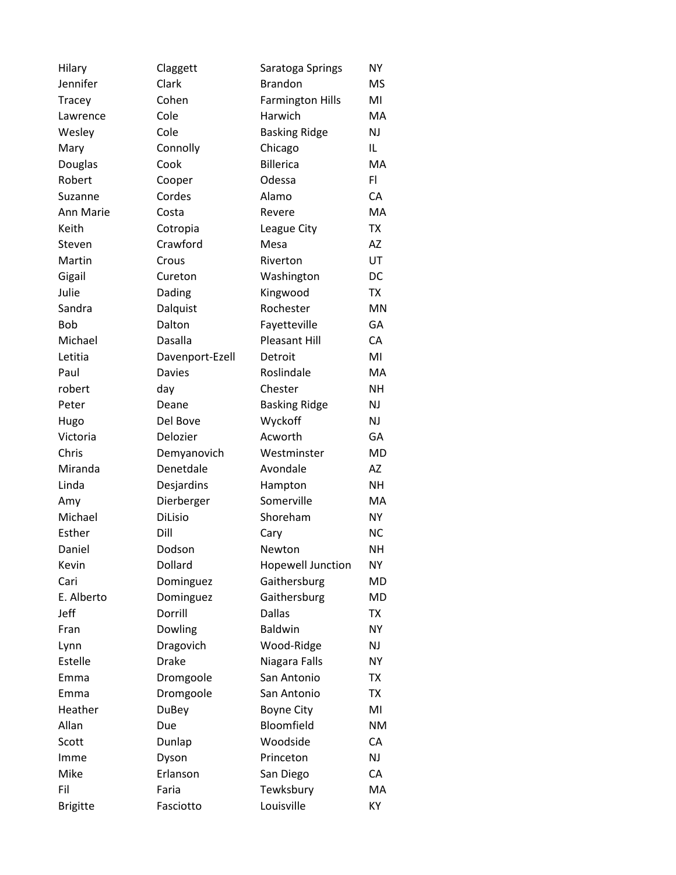| Hilary          | Claggett        | Saratoga Springs         | NΥ        |
|-----------------|-----------------|--------------------------|-----------|
| Jennifer        | Clark           | <b>Brandon</b>           | <b>MS</b> |
| Tracey          | Cohen           | <b>Farmington Hills</b>  | MI        |
| Lawrence        | Cole            | Harwich                  | МA        |
| Wesley          | Cole            | <b>Basking Ridge</b>     | <b>NJ</b> |
| Mary            | Connolly        | Chicago                  | IL        |
| Douglas         | Cook            | <b>Billerica</b>         | MA        |
| Robert          | Cooper          | Odessa                   | FI.       |
| Suzanne         | Cordes          | Alamo                    | СA        |
| Ann Marie       | Costa           | Revere                   | MA        |
| Keith           | Cotropia        | League City              | TX        |
| Steven          | Crawford        | Mesa                     | AZ        |
| Martin          | Crous           | Riverton                 | UT        |
| Gigail          | Cureton         | Washington               | DC        |
| Julie           | Dading          | Kingwood                 | TX        |
| Sandra          | Dalquist        | Rochester                | <b>MN</b> |
| <b>Bob</b>      | Dalton          | Fayetteville             | GA        |
| Michael         | Dasalla         | Pleasant Hill            | CA        |
| Letitia         | Davenport-Ezell | Detroit                  | MI        |
| Paul            | <b>Davies</b>   | Roslindale               | МA        |
| robert          | day             | Chester                  | <b>NH</b> |
| Peter           | Deane           | <b>Basking Ridge</b>     | NJ        |
| Hugo            | Del Bove        | Wyckoff                  | NJ        |
| Victoria        | Delozier        | Acworth                  | GА        |
| Chris           | Demyanovich     | Westminster              | MD        |
| Miranda         | Denetdale       | Avondale                 | AZ        |
| Linda           | Desjardins      | Hampton                  | <b>NH</b> |
| Amy             | Dierberger      | Somerville               | MA        |
| Michael         | DiLisio         | Shoreham                 | NY        |
| Esther          | Dill            | Cary                     | <b>NC</b> |
| Daniel          | Dodson          | Newton                   | <b>NH</b> |
| Kevin           | Dollard         | <b>Hopewell Junction</b> | NΥ        |
| Cari            | Dominguez       | Gaithersburg             | MD        |
| E. Alberto      | Dominguez       | Gaithersburg             | MD        |
| Jeff            | Dorrill         | <b>Dallas</b>            | TX        |
| Fran            | Dowling         | <b>Baldwin</b>           | <b>NY</b> |
| Lynn            | Dragovich       | Wood-Ridge               | NJ        |
| Estelle         | <b>Drake</b>    | Niagara Falls            | <b>NY</b> |
| Emma            | Dromgoole       | San Antonio              | <b>TX</b> |
| Emma            | Dromgoole       | San Antonio              | TX        |
| Heather         | DuBey           | <b>Boyne City</b>        | MI        |
| Allan           | Due             | Bloomfield               | <b>NM</b> |
| Scott           | Dunlap          | Woodside                 | CA        |
| Imme            | Dyson           | Princeton                | NJ        |
| Mike            | Erlanson        | San Diego                | CA        |
| Fil             | Faria           | Tewksbury                | MA        |
| <b>Brigitte</b> | Fasciotto       | Louisville               | KY        |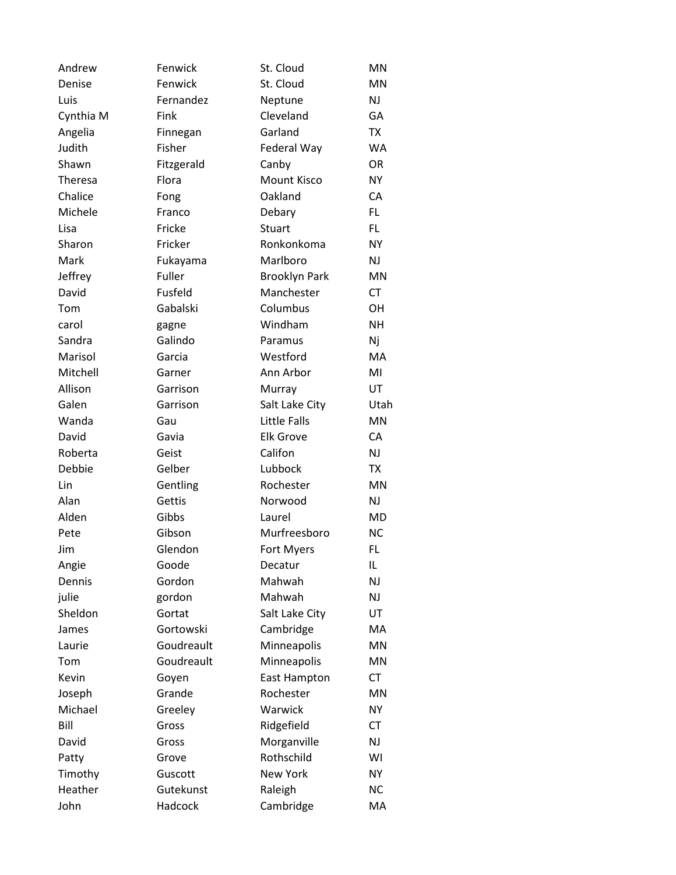| Andrew    | Fenwick    | St. Cloud            | <b>MN</b> |
|-----------|------------|----------------------|-----------|
| Denise    | Fenwick    | St. Cloud            | <b>MN</b> |
| Luis      | Fernandez  | Neptune              | <b>NJ</b> |
| Cynthia M | Fink       | Cleveland            | GA        |
| Angelia   | Finnegan   | Garland              | <b>TX</b> |
| Judith    | Fisher     | Federal Way          | <b>WA</b> |
| Shawn     | Fitzgerald | Canby                | <b>OR</b> |
| Theresa   | Flora      | <b>Mount Kisco</b>   | <b>NY</b> |
| Chalice   | Fong       | Oakland              | CA        |
| Michele   | Franco     | Debary               | FL        |
| Lisa      | Fricke     | Stuart               | FL        |
| Sharon    | Fricker    | Ronkonkoma           | NY.       |
| Mark      | Fukayama   | Marlboro             | <b>NJ</b> |
| Jeffrey   | Fuller     | <b>Brooklyn Park</b> | <b>MN</b> |
| David     | Fusfeld    | Manchester           | <b>CT</b> |
| Tom       | Gabalski   | Columbus             | <b>OH</b> |
| carol     | gagne      | Windham              | <b>NH</b> |
| Sandra    | Galindo    | Paramus              | Nj        |
| Marisol   | Garcia     | Westford             | MA        |
| Mitchell  | Garner     | Ann Arbor            | MI        |
| Allison   | Garrison   | Murray               | UT        |
| Galen     | Garrison   | Salt Lake City       | Utah      |
| Wanda     | Gau        | Little Falls         | <b>MN</b> |
| David     | Gavia      | <b>Elk Grove</b>     | CA        |
| Roberta   | Geist      | Califon              | <b>NJ</b> |
| Debbie    | Gelber     | Lubbock              | <b>TX</b> |
| Lin       | Gentling   | Rochester            | <b>MN</b> |
| Alan      | Gettis     | Norwood              | <b>NJ</b> |
| Alden     | Gibbs      | Laurel               | <b>MD</b> |
| Pete      | Gibson     | Murfreesboro         | <b>NC</b> |
| Jim       | Glendon    | Fort Myers           | FL        |
| Angie     | Goode      | Decatur              | IL        |
| Dennis    | Gordon     | Mahwah               | NJ        |
| julie     | gordon     | Mahwah               | NJ        |
| Sheldon   | Gortat     | Salt Lake City       | UT        |
| James     | Gortowski  | Cambridge            | MA        |
| Laurie    | Goudreault | Minneapolis          | <b>MN</b> |
| Tom       | Goudreault | Minneapolis          | MN        |
| Kevin     | Goyen      | East Hampton         | <b>CT</b> |
| Joseph    | Grande     | Rochester            | MN        |
| Michael   | Greeley    | Warwick              | NY.       |
| Bill      | Gross      | Ridgefield           | <b>CT</b> |
| David     | Gross      | Morganville          | NJ        |
| Patty     | Grove      | Rothschild           | WI        |
| Timothy   | Guscott    | New York             | <b>NY</b> |
| Heather   | Gutekunst  | Raleigh              | <b>NC</b> |
| John      | Hadcock    | Cambridge            | MA        |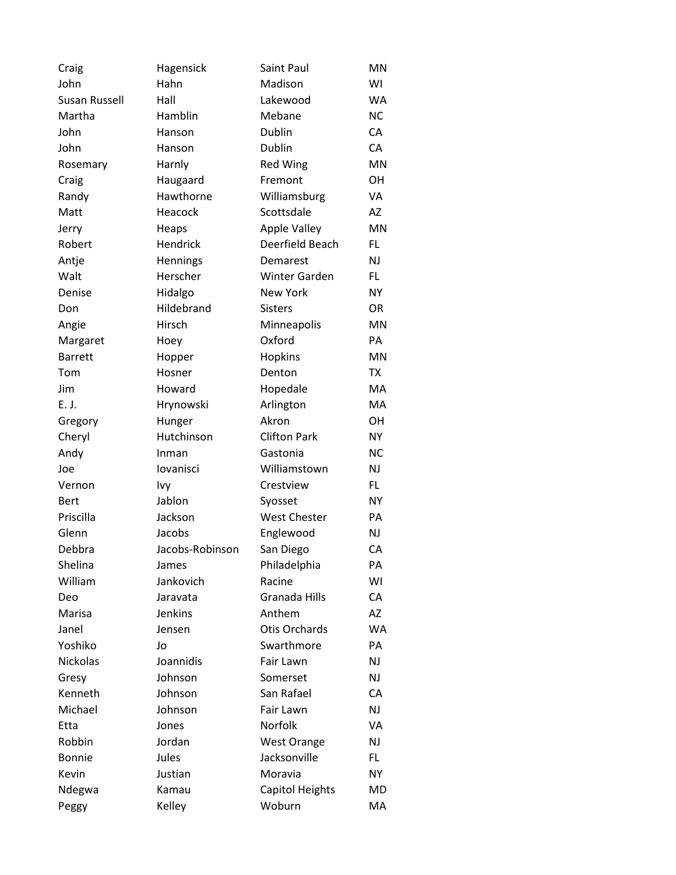| Craig          | Hagensick       | Saint Paul             | MN        |
|----------------|-----------------|------------------------|-----------|
| John           | Hahn            | Madison                | WI        |
| Susan Russell  | Hall            | Lakewood               | <b>WA</b> |
| Martha         | Hamblin         | Mebane                 | <b>NC</b> |
| John           | Hanson          | <b>Dublin</b>          | CA        |
| John           | Hanson          | Dublin                 | CA        |
| Rosemary       | Harnly          | <b>Red Wing</b>        | <b>MN</b> |
| Craig          | Haugaard        | Fremont                | OН        |
| Randy          | Hawthorne       | Williamsburg           | VA        |
| Matt           | Heacock         | Scottsdale             | AZ        |
| Jerry          | Heaps           | <b>Apple Valley</b>    | MN        |
| Robert         | Hendrick        | Deerfield Beach        | FL.       |
| Antje          | Hennings        | Demarest               | NJ        |
| Walt           | Herscher        | <b>Winter Garden</b>   | FL        |
| Denise         | Hidalgo         | <b>New York</b>        | NY        |
| Don            | Hildebrand      | <b>Sisters</b>         | 0R        |
| Angie          | Hirsch          | Minneapolis            | <b>MN</b> |
| Margaret       | Hoey            | Oxford                 | PA        |
| <b>Barrett</b> | Hopper          | Hopkins                | MN        |
| Tom            | Hosner          | Denton                 | TX        |
| Jim            | Howard          | Hopedale               | MA        |
| E. J.          | Hrynowski       | Arlington              | MA        |
| Gregory        | Hunger          | Akron                  | OН        |
| Cheryl         | Hutchinson      | <b>Clifton Park</b>    | <b>NY</b> |
| Andy           | Inman           | Gastonia               | <b>NC</b> |
| Joe            | lovanisci       | Williamstown           | NJ        |
| Vernon         | Ivy             | Crestview              | FL.       |
| <b>Bert</b>    | Jablon          | Syosset                | <b>NY</b> |
| Priscilla      | Jackson         | <b>West Chester</b>    | PA        |
| Glenn          | Jacobs          | Englewood              | NJ        |
| Debbra         | Jacobs-Robinson | San Diego              | CA        |
| Shelina        | James           | Philadelphia           | PА        |
| William        | Jankovich       | Racine                 | WI        |
| Deo            | Jaravata        | Granada Hills          | CA        |
| Marisa         | Jenkins         | Anthem                 | AZ        |
| Janel          | Jensen          | <b>Otis Orchards</b>   | <b>WA</b> |
| Yoshiko        | Jo              | Swarthmore             | PA        |
| Nickolas       | Joannidis       | Fair Lawn              | NJ        |
| Gresy          | Johnson         | Somerset               | NJ        |
| Kenneth        | Johnson         | San Rafael             | CA        |
| Michael        | Johnson         | Fair Lawn              | NJ        |
| Etta           | Jones           | Norfolk                | VA        |
| Robbin         | Jordan          | <b>West Orange</b>     | NJ        |
| <b>Bonnie</b>  | Jules           | Jacksonville           | FL.       |
| Kevin          | Justian         | Moravia                | <b>NY</b> |
| Ndegwa         | Kamau           | <b>Capitol Heights</b> | MD        |
| Peggy          | Kelley          | Woburn                 | MA        |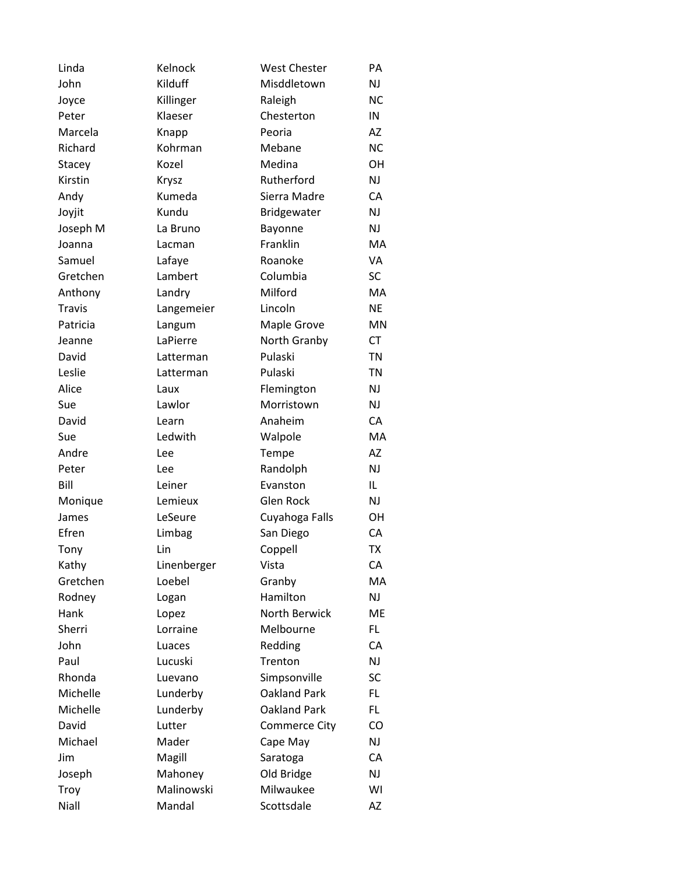| Linda         | Kelnock     | <b>West Chester</b> | PA        |
|---------------|-------------|---------------------|-----------|
| John          | Kilduff     | Misddletown         | <b>NJ</b> |
| Joyce         | Killinger   | Raleigh             | <b>NC</b> |
| Peter         | Klaeser     | Chesterton          | IN        |
| Marcela       | Knapp       | Peoria              | AZ        |
| Richard       | Kohrman     | Mebane              | <b>NC</b> |
| Stacey        | Kozel       | Medina              | OH        |
| Kirstin       | Krysz       | Rutherford          | <b>NJ</b> |
| Andy          | Kumeda      | Sierra Madre        | CA        |
| Joyjit        | Kundu       | Bridgewater         | <b>NJ</b> |
| Joseph M      | La Bruno    | Bayonne             | <b>NJ</b> |
| Joanna        | Lacman      | Franklin            | MA        |
| Samuel        | Lafaye      | Roanoke             | VA        |
| Gretchen      | Lambert     | Columbia            | <b>SC</b> |
| Anthony       | Landry      | Milford             | MA        |
| <b>Travis</b> | Langemeier  | Lincoln             | <b>NE</b> |
| Patricia      | Langum      | Maple Grove         | <b>MN</b> |
| Jeanne        | LaPierre    | North Granby        | <b>CT</b> |
| David         | Latterman   | Pulaski             | <b>TN</b> |
| Leslie        | Latterman   | Pulaski             | <b>TN</b> |
| Alice         | Laux        | Flemington          | <b>NJ</b> |
| Sue           | Lawlor      | Morristown          | <b>NJ</b> |
| David         | Learn       | Anaheim             | CA        |
| Sue           | Ledwith     | Walpole             | MA        |
| Andre         | Lee         | Tempe               | AZ        |
| Peter         | Lee         | Randolph            | <b>NJ</b> |
| Bill          | Leiner      | Evanston            | IL        |
| Monique       | Lemieux     | Glen Rock           | <b>NJ</b> |
| James         | LeSeure     | Cuyahoga Falls      | OH        |
| Efren         | Limbag      | San Diego           | CA        |
| Tony          | Lin         | Coppell             | <b>TX</b> |
| Kathy         | Linenberger | Vista               | CA        |
| Gretchen      | Loebel      | Granby              | МA        |
| Rodney        | Logan       | Hamilton            | NJ        |
| Hank          | Lopez       | North Berwick       | ME        |
| Sherri        | Lorraine    | Melbourne           | FL.       |
| John          | Luaces      | Redding             | CA        |
| Paul          | Lucuski     | Trenton             | <b>NJ</b> |
| Rhonda        | Luevano     | Simpsonville        | SC        |
| Michelle      | Lunderby    | <b>Oakland Park</b> | FL        |
| Michelle      | Lunderby    | <b>Oakland Park</b> | FL.       |
| David         | Lutter      | Commerce City       | CO        |
| Michael       | Mader       | Cape May            | <b>NJ</b> |
| Jim           | Magill      | Saratoga            | CA        |
| Joseph        | Mahoney     | Old Bridge          | <b>NJ</b> |
| Troy          | Malinowski  | Milwaukee           | WI        |
| Niall         | Mandal      | Scottsdale          | AZ        |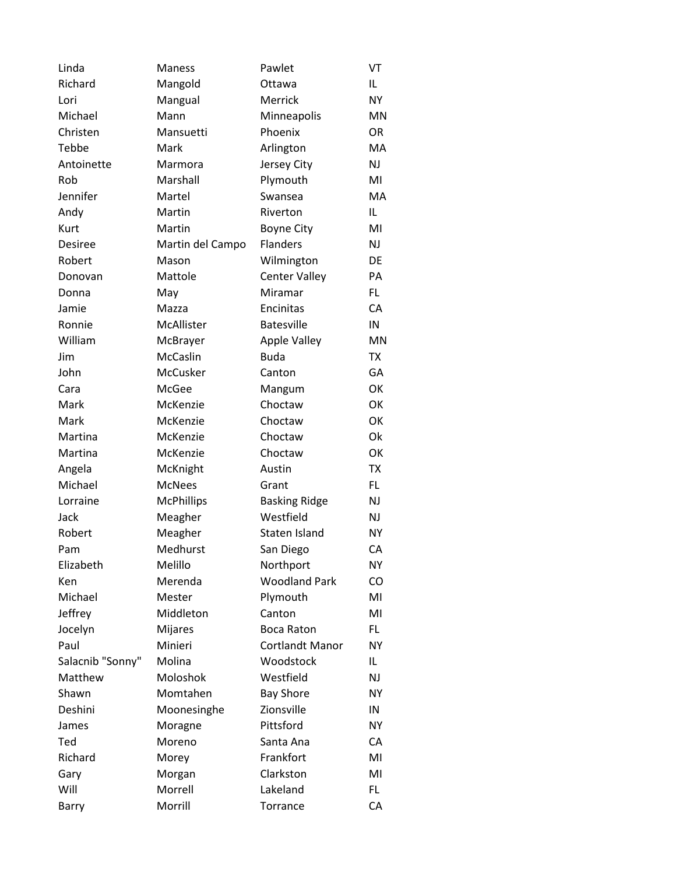| Linda            | Maness            | Pawlet                 | VT        |
|------------------|-------------------|------------------------|-----------|
| Richard          | Mangold           | Ottawa                 | IL        |
| Lori             | Mangual           | Merrick                | <b>NY</b> |
| Michael          | Mann              | Minneapolis            | MN        |
| Christen         | Mansuetti         | Phoenix                | <b>OR</b> |
| Tebbe            | Mark              | Arlington              | МA        |
| Antoinette       | Marmora           | Jersey City            | NJ        |
| Rob              | Marshall          | Plymouth               | MI        |
| Jennifer         | Martel            | Swansea                | МA        |
| Andy             | Martin            | Riverton               | IL        |
| Kurt             | Martin            | <b>Boyne City</b>      | MI        |
| <b>Desiree</b>   | Martin del Campo  | <b>Flanders</b>        | NJ        |
| Robert           | Mason             | Wilmington             | DE        |
| Donovan          | Mattole           | <b>Center Valley</b>   | PA        |
| Donna            | May               | Miramar                | FL.       |
| Jamie            | Mazza             | Encinitas              | CA        |
| Ronnie           | McAllister        | <b>Batesville</b>      | IN        |
| William          | McBrayer          | <b>Apple Valley</b>    | <b>MN</b> |
| Jim              | McCaslin          | <b>Buda</b>            | TX        |
| John             | McCusker          | Canton                 | GА        |
| Cara             | McGee             | Mangum                 | OK        |
| Mark             | McKenzie          | Choctaw                | OK        |
| Mark             | McKenzie          | Choctaw                | OK        |
| Martina          | McKenzie          | Choctaw                | Ok        |
| Martina          | McKenzie          | Choctaw                | OK        |
| Angela           | McKnight          | Austin                 | <b>TX</b> |
| Michael          | <b>McNees</b>     | Grant                  | FL        |
| Lorraine         | <b>McPhillips</b> | <b>Basking Ridge</b>   | NJ        |
| Jack             | Meagher           | Westfield              | NJ        |
| Robert           | Meagher           | Staten Island          | <b>NY</b> |
| Pam              | Medhurst          | San Diego              | CA        |
| Elizabeth        | Melillo           | Northport              | NΥ        |
| Ken              | Merenda           | <b>Woodland Park</b>   | CO        |
| Michael          | Mester            | Plymouth               | MI        |
| Jeffrey          | Middleton         | Canton                 | MI        |
| Jocelyn          | <b>Mijares</b>    | Boca Raton             | FL.       |
| Paul             | Minieri           | <b>Cortlandt Manor</b> | NY        |
| Salacnib "Sonny" | Molina            | Woodstock              | IL.       |
| Matthew          | Moloshok          | Westfield              | NJ        |
| Shawn            | Momtahen          | <b>Bay Shore</b>       | <b>NY</b> |
| Deshini          | Moonesinghe       | Zionsville             | IN        |
| James            | Moragne           | Pittsford              | NY        |
| Ted              | Moreno            | Santa Ana              | CA        |
| Richard          | Morey             | Frankfort              | MI        |
| Gary             | Morgan            | Clarkston              | MI        |
| Will             | Morrell           | Lakeland               | FL.       |
| Barry            | Morrill           | Torrance               | CA        |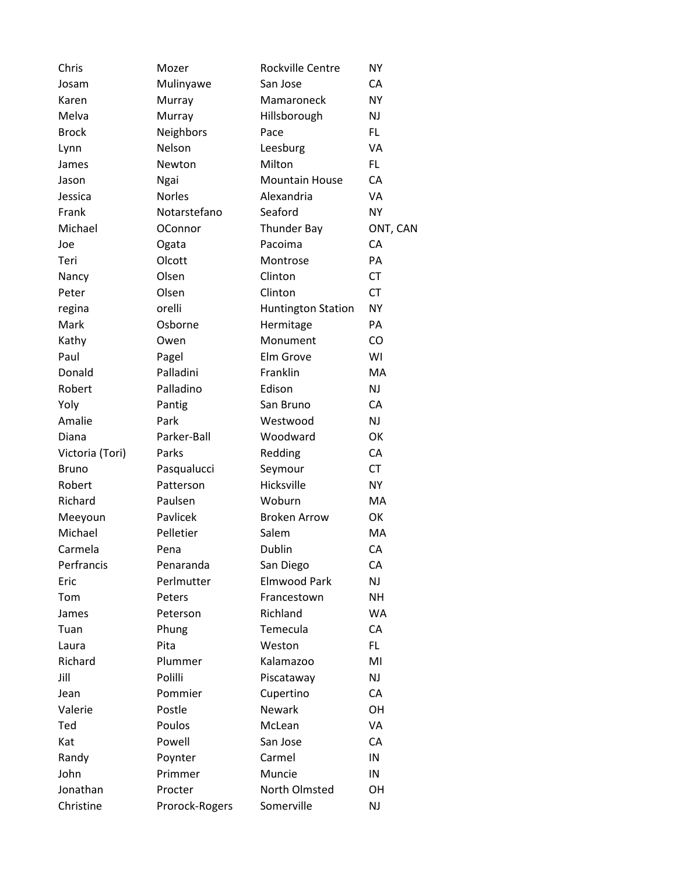| Chris           | Mozer          | Rockville Centre          | <b>NY</b> |
|-----------------|----------------|---------------------------|-----------|
| Josam           | Mulinyawe      | San Jose                  | CA        |
| Karen           | Murray         | Mamaroneck                | <b>NY</b> |
| Melva           | Murray         | Hillsborough              | NJ        |
| <b>Brock</b>    | Neighbors      | Pace                      | FL.       |
| Lynn            | Nelson         | Leesburg                  | VA        |
| James           | Newton         | Milton                    | FL.       |
| Jason           | Ngai           | <b>Mountain House</b>     | CA        |
| Jessica         | <b>Norles</b>  | Alexandria                | VA        |
| Frank           | Notarstefano   | Seaford                   | <b>NY</b> |
| Michael         | <b>OConnor</b> | <b>Thunder Bay</b>        | ONT, CAN  |
| Joe             | Ogata          | Pacoima                   | СA        |
| Teri            | Olcott         | Montrose                  | PA        |
| Nancy           | Olsen          | Clinton                   | <b>CT</b> |
| Peter           | Olsen          | Clinton                   | <b>CT</b> |
| regina          | orelli         | <b>Huntington Station</b> | <b>NY</b> |
| Mark            | Osborne        | Hermitage                 | PA        |
| Kathy           | Owen           | Monument                  | CO        |
| Paul            | Pagel          | Elm Grove                 | WI        |
| Donald          | Palladini      | Franklin                  | MA        |
| Robert          | Palladino      | Edison                    | NJ        |
| Yoly            | Pantig         | San Bruno                 | CA        |
| Amalie          | Park           | Westwood                  | NJ        |
| Diana           | Parker-Ball    | Woodward                  | OK        |
| Victoria (Tori) | Parks          | Redding                   | CA        |
| <b>Bruno</b>    | Pasqualucci    | Seymour                   | <b>CT</b> |
| Robert          | Patterson      | Hicksville                | <b>NY</b> |
| Richard         | Paulsen        | Woburn                    | MA        |
| Meeyoun         | Pavlicek       | <b>Broken Arrow</b>       | OK        |
| Michael         | Pelletier      | Salem                     | MA        |
| Carmela         | Pena           | Dublin                    | CA        |
| Perfrancis      | Penaranda      | San Diego                 | CA        |
| Eric            | Perlmutter     | <b>Elmwood Park</b>       | NJ        |
| Tom             | Peters         | Francestown               | <b>NH</b> |
| James           | Peterson       | Richland                  | WA        |
| Tuan            | Phung          | Temecula                  | CA        |
| Laura           | Pita           | Weston                    | FL.       |
| Richard         | Plummer        | Kalamazoo                 | MI        |
| Jill            | Polilli        | Piscataway                | NJ        |
| Jean            | Pommier        | Cupertino                 | CA        |
| Valerie         | Postle         | Newark                    | OH        |
| Ted             | Poulos         | McLean                    | VA        |
| Kat             | Powell         | San Jose                  | CA        |
| Randy           | Poynter        | Carmel                    | IN        |
| John            | Primmer        | Muncie                    | IN        |
| Jonathan        | Procter        | North Olmsted             | OH        |
| Christine       | Prorock-Rogers | Somerville                | NJ        |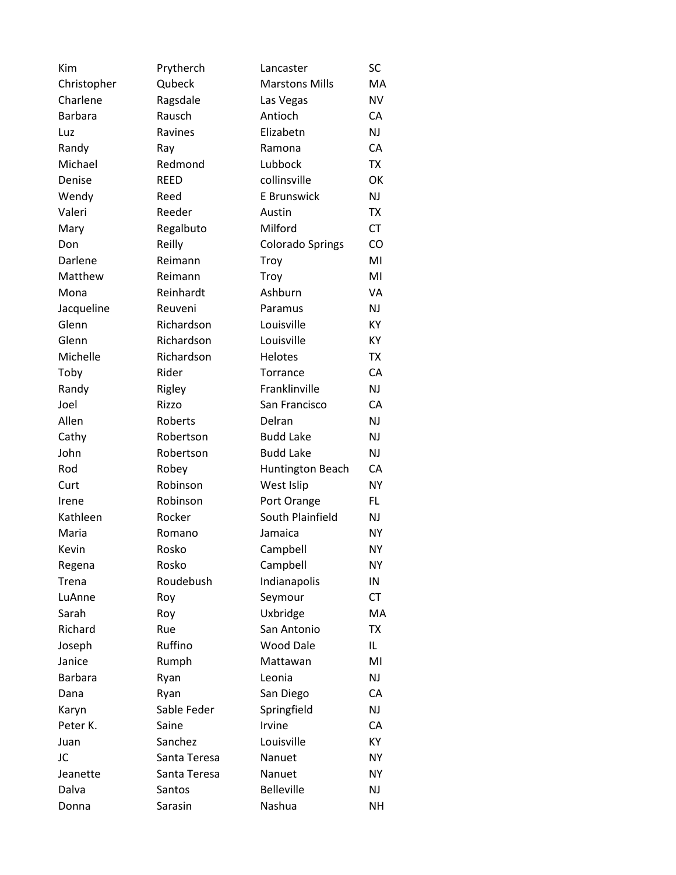| Kim            | Prytherch    | Lancaster               | SC        |
|----------------|--------------|-------------------------|-----------|
| Christopher    | Qubeck       | <b>Marstons Mills</b>   | MA        |
| Charlene       | Ragsdale     | Las Vegas               | <b>NV</b> |
| <b>Barbara</b> | Rausch       | Antioch                 | CA        |
| Luz            | Ravines      | Elizabetn               | NJ        |
| Randy          | Ray          | Ramona                  | CA        |
| Michael        | Redmond      | Lubbock                 | <b>TX</b> |
| Denise         | <b>REED</b>  | collinsville            | OK        |
| Wendy          | Reed         | E Brunswick             | NJ        |
| Valeri         | Reeder       | Austin                  | <b>TX</b> |
| Mary           | Regalbuto    | Milford                 | <b>CT</b> |
| Don            | Reilly       | <b>Colorado Springs</b> | CO        |
| Darlene        | Reimann      | Troy                    | MI        |
| Matthew        | Reimann      | Troy                    | MI        |
| Mona           | Reinhardt    | Ashburn                 | VA        |
| Jacqueline     | Reuveni      | Paramus                 | NJ        |
| Glenn          | Richardson   | Louisville              | KY        |
| Glenn          | Richardson   | Louisville              | КY        |
| Michelle       | Richardson   | <b>Helotes</b>          | <b>TX</b> |
| Toby           | Rider        | Torrance                | CA        |
| Randy          | Rigley       | Franklinville           | NJ        |
| Joel           | Rizzo        | San Francisco           | CA        |
| Allen          | Roberts      | Delran                  | NJ        |
| Cathy          | Robertson    | <b>Budd Lake</b>        | NJ        |
| John           | Robertson    | <b>Budd Lake</b>        | NJ        |
| Rod            | Robey        | Huntington Beach        | CA        |
| Curt           | Robinson     | West Islip              | <b>NY</b> |
| Irene          | Robinson     | Port Orange             | FL        |
| Kathleen       | Rocker       | South Plainfield        | NJ        |
| Maria          | Romano       | Jamaica                 | NΥ        |
| Kevin          | Rosko        | Campbell                | NΥ        |
| Regena         | Rosko        | Campbell                | NΥ        |
| Trena          | Roudebush    | Indianapolis            | IN        |
| LuAnne         | Roy          | Seymour                 | CT        |
| Sarah          | Roy          | Uxbridge                | МA        |
| Richard        | Rue          | San Antonio             | <b>TX</b> |
| Joseph         | Ruffino      | <b>Wood Dale</b>        | IL.       |
| Janice         | Rumph        | Mattawan                | MI        |
| <b>Barbara</b> | Ryan         | Leonia                  | NJ        |
| Dana           | Ryan         | San Diego               | CA        |
| Karyn          | Sable Feder  | Springfield             | NJ        |
| Peter K.       | Saine        | Irvine                  | CA        |
| Juan           | Sanchez      | Louisville              | KY        |
| JC             | Santa Teresa | Nanuet                  | NΥ        |
| Jeanette       | Santa Teresa | Nanuet                  | <b>NY</b> |
| Dalva          | Santos       | <b>Belleville</b>       | NJ        |
| Donna          | Sarasin      | Nashua                  | NΗ        |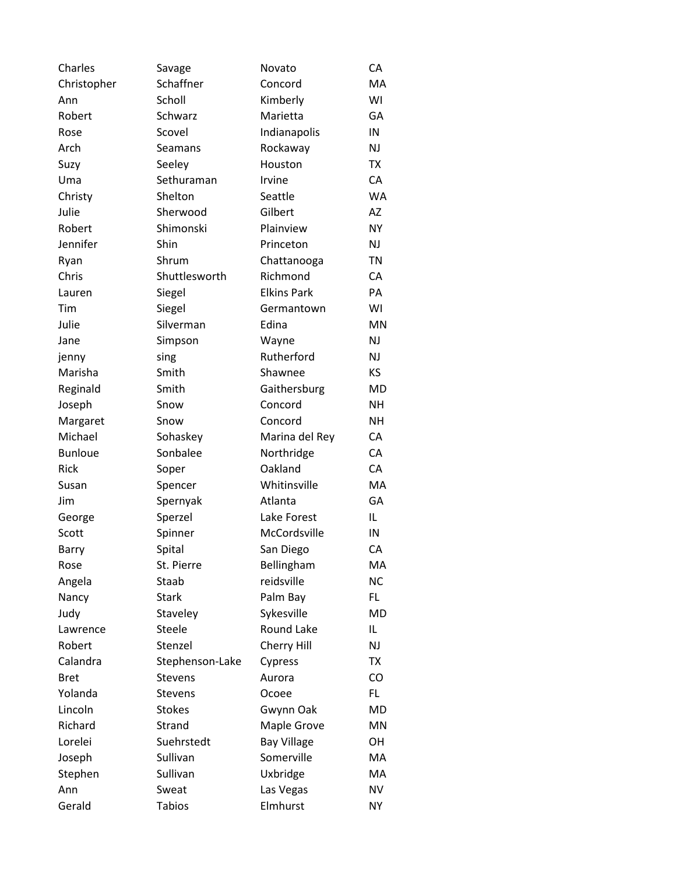| Charles        | Savage          | Novato             | СA        |
|----------------|-----------------|--------------------|-----------|
| Christopher    | Schaffner       | Concord            | MA        |
| Ann            | Scholl          | Kimberly           | WI        |
| Robert         | Schwarz         | Marietta           | GA        |
| Rose           | Scovel          | Indianapolis       | IN        |
| Arch           | Seamans         | Rockaway           | <b>NJ</b> |
| Suzy           | Seeley          | Houston            | <b>TX</b> |
| Uma            | Sethuraman      | Irvine             | CA        |
| Christy        | Shelton         | Seattle            | <b>WA</b> |
| Julie          | Sherwood        | Gilbert            | <b>AZ</b> |
| Robert         | Shimonski       | Plainview          | <b>NY</b> |
| Jennifer       | Shin            | Princeton          | <b>NJ</b> |
| Ryan           | Shrum           | Chattanooga        | TN        |
| Chris          | Shuttlesworth   | Richmond           | CA        |
| Lauren         | Siegel          | <b>Elkins Park</b> | PA        |
| Tim            | Siegel          | Germantown         | WI        |
| Julie          | Silverman       | Edina              | <b>MN</b> |
| Jane           | Simpson         | Wayne              | NJ        |
| jenny          | sing            | Rutherford         | NJ        |
| Marisha        | Smith           | Shawnee            | KS        |
| Reginald       | Smith           | Gaithersburg       | <b>MD</b> |
| Joseph         | Snow            | Concord            | <b>NH</b> |
| Margaret       | Snow            | Concord            | NΗ        |
| Michael        | Sohaskey        | Marina del Rey     | CA        |
| <b>Bunloue</b> | Sonbalee        | Northridge         | CA        |
| Rick           | Soper           | Oakland            | CA        |
| Susan          | Spencer         | Whitinsville       | MA        |
| Jim            | Spernyak        | Atlanta            | GA        |
| George         | Sperzel         | Lake Forest        | IL        |
| Scott          | Spinner         | McCordsville       | IN        |
| Barry          | Spital          | San Diego          | CA        |
| Rose           | St. Pierre      | Bellingham         | МA        |
| Angela         | Staab           | reidsville         | <b>NC</b> |
| Nancy          | <b>Stark</b>    | Palm Bay           | FL.       |
| Judy           | Staveley        | Sykesville         | MD        |
| Lawrence       | Steele          | <b>Round Lake</b>  | IL        |
| Robert         | Stenzel         | Cherry Hill        | <b>NJ</b> |
| Calandra       | Stephenson-Lake | Cypress            | <b>TX</b> |
| <b>Bret</b>    | <b>Stevens</b>  | Aurora             | CO        |
| Yolanda        | <b>Stevens</b>  | Ocoee              | FL.       |
| Lincoln        | <b>Stokes</b>   | Gwynn Oak          | MD        |
| Richard        | Strand          | Maple Grove        | MN        |
| Lorelei        | Suehrstedt      | <b>Bay Village</b> | OH        |
| Joseph         | Sullivan        | Somerville         | МA        |
| Stephen        | Sullivan        | Uxbridge           | MA        |
| Ann            | Sweat           | Las Vegas          | <b>NV</b> |
| Gerald         | <b>Tabios</b>   | Elmhurst           | <b>NY</b> |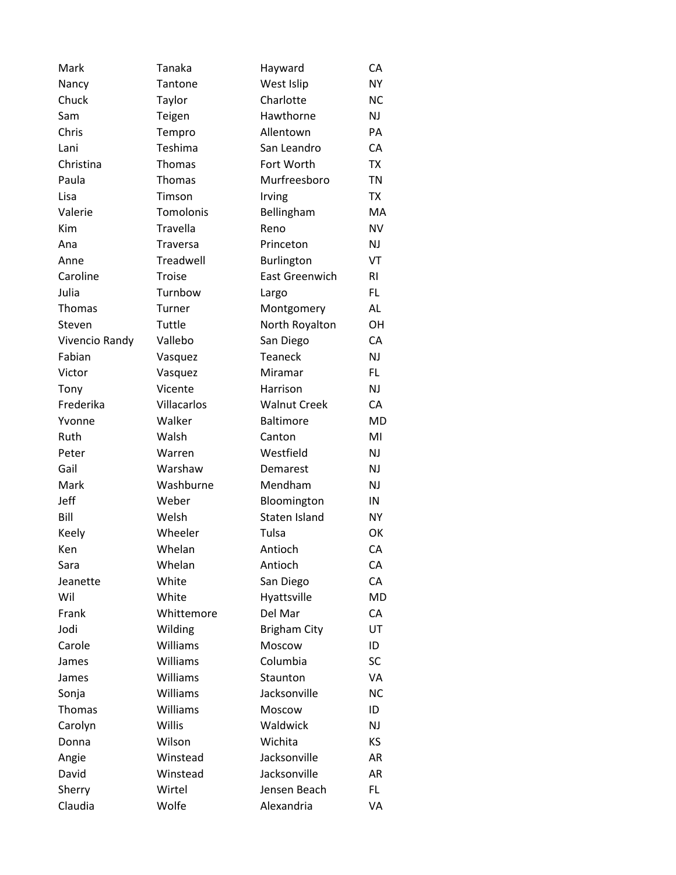| Mark           | Tanaka          | Hayward               | СA        |
|----------------|-----------------|-----------------------|-----------|
| Nancy          | Tantone         | West Islip            | <b>NY</b> |
| Chuck          | Taylor          | Charlotte             | <b>NC</b> |
| Sam            | Teigen          | Hawthorne             | NJ        |
| Chris          | Tempro          | Allentown             | PA        |
| Lani           | Teshima         | San Leandro           | CA        |
| Christina      | Thomas          | Fort Worth            | <b>TX</b> |
| Paula          | Thomas          | Murfreesboro          | <b>TN</b> |
| Lisa           | Timson          | Irving                | <b>TX</b> |
| Valerie        | Tomolonis       | Bellingham            | MA        |
| Kim            | Travella        | Reno                  | <b>NV</b> |
| Ana            | <b>Traversa</b> | Princeton             | NJ        |
| Anne           | Treadwell       | Burlington            | VT        |
| Caroline       | Troise          | <b>East Greenwich</b> | RI        |
| Julia          | Turnbow         | Largo                 | FL.       |
| Thomas         | Turner          | Montgomery            | AL        |
| Steven         | Tuttle          | North Royalton        | OН        |
| Vivencio Randy | Vallebo         | San Diego             | CA        |
| Fabian         | Vasquez         | <b>Teaneck</b>        | NJ        |
| Victor         | Vasquez         | Miramar               | FL.       |
| Tony           | Vicente         | Harrison              | NJ        |
| Frederika      | Villacarlos     | <b>Walnut Creek</b>   | CA        |
| Yvonne         | Walker          | <b>Baltimore</b>      | MD        |
| Ruth           | Walsh           | Canton                | MI        |
| Peter          | Warren          | Westfield             | NJ        |
| Gail           | Warshaw         | Demarest              | NJ        |
| Mark           | Washburne       | Mendham               | NJ        |
| Jeff           | Weber           | Bloomington           | IN        |
| Bill           | Welsh           | Staten Island         | <b>NY</b> |
| Keely          | Wheeler         | Tulsa                 | OK        |
| Ken            | Whelan          | Antioch               | CA        |
| Sara           | Whelan          | Antioch               | CA        |
| Jeanette       | White           | San Diego             | CA        |
| Wil            | White           | Hyattsville           | <b>MD</b> |
| Frank          | Whittemore      | Del Mar               | CA        |
| Jodi           | Wilding         | <b>Brigham City</b>   | UT        |
| Carole         | Williams        | Moscow                | ID        |
| James          | Williams        | Columbia              | SC        |
| James          | Williams        | Staunton              | VA        |
| Sonja          | Williams        | Jacksonville          | <b>NC</b> |
| Thomas         | Williams        | Moscow                | ID        |
| Carolyn        | Willis          | Waldwick              | NJ        |
| Donna          | Wilson          | Wichita               | KS        |
| Angie          | Winstead        | Jacksonville          | AR        |
| David          | Winstead        | Jacksonville          | AR        |
| Sherry         | Wirtel          | Jensen Beach          | FL.       |
| Claudia        | Wolfe           | Alexandria            | VA        |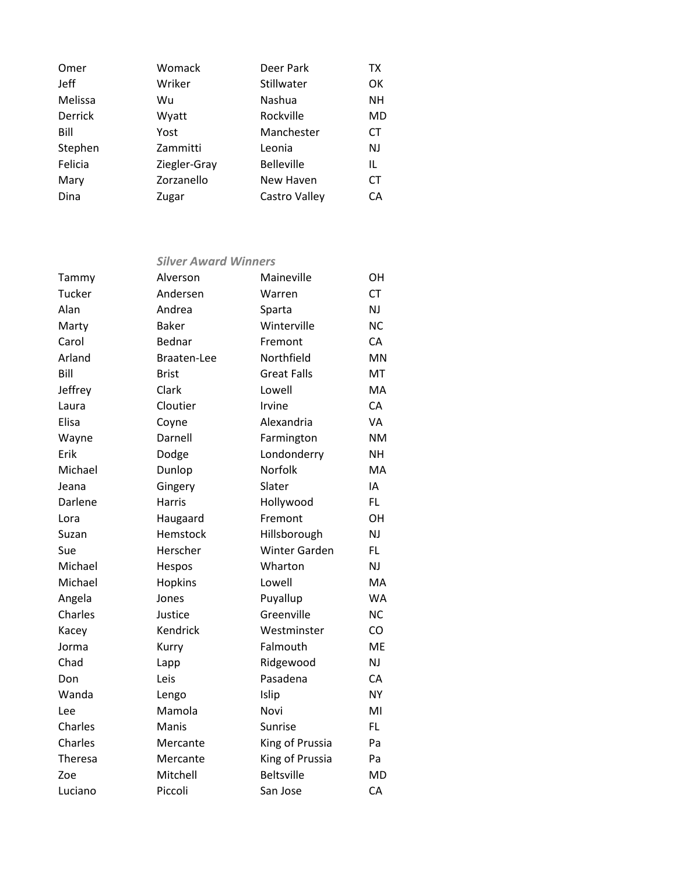| Womack       | Deer Park         | TX        |
|--------------|-------------------|-----------|
| Wriker       | Stillwater        | OK        |
| Wu           | Nashua            | NΗ        |
| Wyatt        | Rockville         | MD        |
| Yost         | Manchester        | <b>CT</b> |
| Zammitti     | Leonia            | <b>NJ</b> |
| Ziegler-Gray | <b>Belleville</b> | IL        |
| Zorzanello   | New Haven         | <b>CT</b> |
| Zugar        | Castro Valley     | СA        |
|              |                   |           |

## *Silver Award Winners*

| Tammy   | Alverson      | Maineville           | OH        |
|---------|---------------|----------------------|-----------|
| Tucker  | Andersen      | Warren               | <b>CT</b> |
| Alan    | Andrea        | Sparta               | NJ        |
| Marty   | <b>Baker</b>  | Winterville          | <b>NC</b> |
| Carol   | Bednar        | Fremont              | CA        |
| Arland  | Braaten-Lee   | Northfield           | MN        |
| Bill    | <b>Brist</b>  | <b>Great Falls</b>   | MT        |
| Jeffrey | Clark         | Lowell               | MA        |
| Laura   | Cloutier      | Irvine               | CA        |
| Elisa   | Coyne         | Alexandria           | VA        |
| Wayne   | Darnell       | Farmington           | <b>NM</b> |
| Erik    | Dodge         | Londonderry          | <b>NH</b> |
| Michael | Dunlop        | Norfolk              | MA        |
| Jeana   | Gingery       | Slater               | IA        |
| Darlene | <b>Harris</b> | Hollywood            | FL.       |
| Lora    | Haugaard      | Fremont              | <b>OH</b> |
| Suzan   | Hemstock      | Hillsborough         | NJ        |
| Sue     | Herscher      | <b>Winter Garden</b> | FL.       |
| Michael | Hespos        | Wharton              | NJ        |
| Michael | Hopkins       | Lowell               | MA        |
| Angela  | Jones         | Puyallup             | <b>WA</b> |
| Charles | Justice       | Greenville           | <b>NC</b> |
| Kacey   | Kendrick      | Westminster          | CO        |
| Jorma   | Kurry         | Falmouth             | ME        |
| Chad    | Lapp          | Ridgewood            | NJ        |
| Don     | Leis          | Pasadena             | CA        |
| Wanda   | Lengo         | Islip                | <b>NY</b> |
| Lee     | Mamola        | Novi                 | MI        |
| Charles | Manis         | Sunrise              | FL.       |
| Charles | Mercante      | King of Prussia      | Pa        |
| Theresa | Mercante      | King of Prussia      | Pa        |
| Zoe     | Mitchell      | <b>Beltsville</b>    | <b>MD</b> |
| Luciano | Piccoli       | San Jose             | CA        |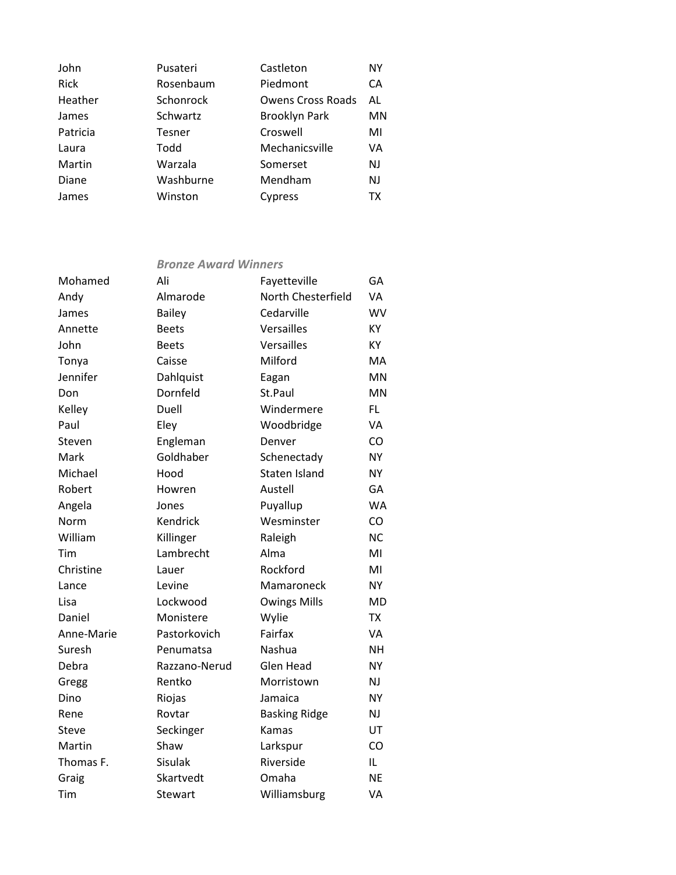| John        | Pusateri      | Castleton                | ΝY        |
|-------------|---------------|--------------------------|-----------|
| <b>Rick</b> | Rosenbaum     | Piedmont                 | <b>CA</b> |
| Heather     | Schonrock     | <b>Owens Cross Roads</b> | AL        |
| James       | Schwartz      | <b>Brooklyn Park</b>     | MN        |
| Patricia    | <b>Tesner</b> | Croswell                 | MI        |
| Laura       | Todd          | Mechanicsville           | VA        |
| Martin      | Warzala       | Somerset                 | NJ        |
| Diane       | Washburne     | Mendham                  | NJ        |
| James       | Winston       | Cypress                  | ТX        |
|             |               |                          |           |

## *Bronze Award Winners*

| Mohamed    | Ali           | Fayetteville         | GA        |
|------------|---------------|----------------------|-----------|
| Andy       | Almarode      | North Chesterfield   | <b>VA</b> |
| James      | <b>Bailey</b> | Cedarville           | WV        |
| Annette    | <b>Beets</b>  | Versailles           | KY        |
| John       | <b>Beets</b>  | Versailles           | KY        |
| Tonya      | Caisse        | Milford              | MA        |
| Jennifer   | Dahlquist     | Eagan                | <b>MN</b> |
| Don        | Dornfeld      | St.Paul              | <b>MN</b> |
| Kelley     | Duell         | Windermere           | FL        |
| Paul       | Eley          | Woodbridge           | VA        |
| Steven     | Engleman      | Denver               | CO        |
| Mark       | Goldhaber     | Schenectady          | <b>NY</b> |
| Michael    | Hood          | <b>Staten Island</b> | <b>NY</b> |
| Robert     | Howren        | Austell              | GA        |
| Angela     | Jones         | Puyallup             | <b>WA</b> |
| Norm       | Kendrick      | Wesminster           | CO        |
| William    | Killinger     | Raleigh              | <b>NC</b> |
| Tim        | Lambrecht     | Alma                 | MI        |
| Christine  | Lauer         | Rockford             | MI        |
| Lance      | Levine        | Mamaroneck           | <b>NY</b> |
| Lisa       | Lockwood      | <b>Owings Mills</b>  | <b>MD</b> |
| Daniel     | Monistere     | Wylie                | TX        |
| Anne-Marie | Pastorkovich  | Fairfax              | <b>VA</b> |
| Suresh     | Penumatsa     | <b>Nashua</b>        | <b>NH</b> |
| Debra      | Razzano-Nerud | Glen Head            | <b>NY</b> |
| Gregg      | Rentko        | Morristown           | NJ        |
| Dino       | Riojas        | Jamaica              | <b>NY</b> |
| Rene       | Rovtar        | <b>Basking Ridge</b> | NJ        |
| Steve      | Seckinger     | Kamas                | UT        |
| Martin     | Shaw          | Larkspur             | CO        |
| Thomas F.  | Sisulak       | Riverside            | IL.       |
| Graig      | Skartvedt     | Omaha                | <b>NE</b> |
| Tim        | Stewart       | Williamsburg         | VA        |